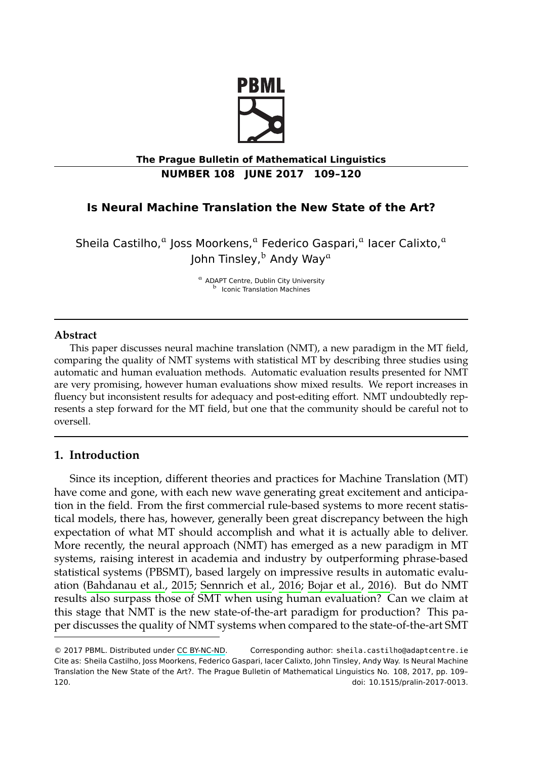

# **The Prague Bulletin of Mathematical Linguistics NUMBER 108 JUNE 2017 109–120**

# **Is Neural Machine Translation the New State of the Art?**

Sheila Castilho,<sup>a</sup> Joss Moorkens,<sup>a</sup> Federico Gaspari,<sup>a</sup> lacer Calixto,<sup>a</sup> John Tinsley, $\rm^b$  Andy Way<sup>a</sup>

> <sup>a</sup> ADAPT Centre, Dublin City University <sup>b</sup> Iconic Translation Machines

## **Abstract**

This paper discusses neural machine translation (NMT), a new paradigm in the MT field, comparing the quality of NMT systems with statistical MT by describing three studies using automatic and human evaluation methods. Automatic evaluation results presented for NMT are very promising, however human evaluations show mixed results. We report increases in fluency but inconsistent results for adequacy and post-editing effort. NMT undoubtedly represents a step forward for the MT field, but one that the community should be careful not to oversell.

## **1. Int[roduction](#page-9-0)**

Since its inception, different theories and practices for Machine Translation (MT) have come and gone, with each new wave generating great excitement and anticipation in the field. From the first commercial rule-based systems to more recent statistical models, there has, however, generally been great discrepancy between the high expectation of what MT [should ac](http://creativecommons.org/licenses/by-nc-nd/3.0/)complish and what it is actually able to deliver. More recently, the neural approach (NMT) has emerged as a new paradigm in MT systems, raising interest in academia and industry by outperforming phrase-based statistical systems (PBSMT), based largely on impressive results in automatic evaluation (Bahdanau et al., 2015; Sennrich et al., 2016; Bojar et al., 2016). But do NMT results also surpass those of SMT when using human evaluation? Can we claim at this stage that NMT is the new state-of-the-art paradigm for production? This paper discusses the quality of NMT systems when compared to the state-of-the-art SMT

<sup>© 2017</sup> PBML. Distributed under CC BY-NC-ND. Corresponding author: sheila.castilho@adaptcentre.ie Cite as: Sheila Castilho, Joss Moorkens, Federico Gaspari, Iacer Calixto, John Tinsley, Andy Way. Is Neural Machine Translation the New State of the Art?. The Prague Bulletin of Mathematical Linguistics No. 108, 2017, pp. 109– 120. doi: 10.1515/pralin-2017-0013.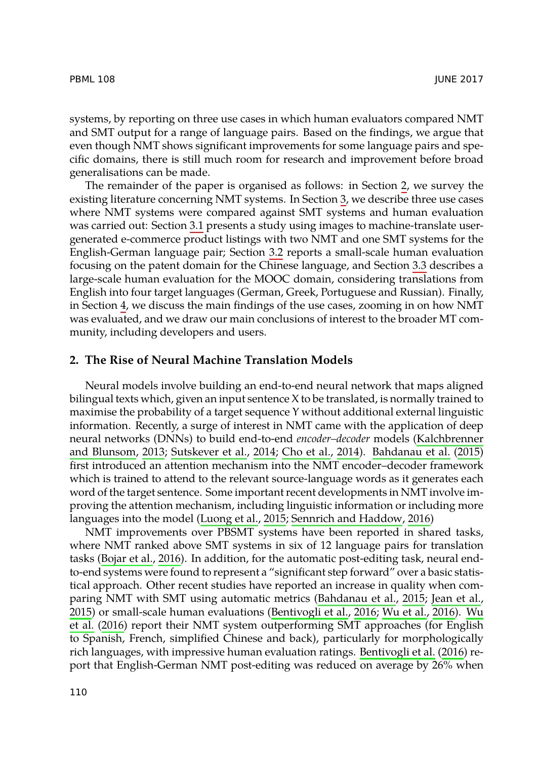systems, by reporting on three use cases in which human evaluators compared NMT and SMT output for a range of language [pai](#page-4-0)rs. Based on the findings, we argue that even though NMT shows significant improvements for some language [pa](#page-6-0)irs and specific domains, there is still much room for research and improvement before broad generalisations can be made.

The re[m](#page-8-0)ainder of the paper is organised as follows: in Section 2, we survey the existing literature concerning NMT systems. In Section 3, we describe three use cases where NMT systems were compared against SMT systems and human evaluation was carried out: Section 3.1 presents a study using images to machine-translate usergenerated e-commerce product listings with two NMT and one SMT systems for the English-German language pair; Section 3.2 reports a small-scale human evaluation focusing on the patent domain for the Chinese language, and Section 3.3 describes a large-scale human evaluation for the MOOC domain, considering translations from English into four target languages (German, Greek, Portuguese and Russian). Finally, in Section 4, we discuss the main findings of the use cases, zooming in on how NMT was evaluated, and we draw our mai[n conc](#page-11-0)[lusions of interes](#page-10-1)t t[o the bro](#page-9-0)[ader MT com](#page-10-0)[munity, including d](#page-10-0)[evelopers and us](#page-11-0)ers.

## **2. The Rise of Neural Machine Translation Models**

Neural models involve building an end-to-end neural network that maps aligned bilingual texts which, give[n an input sentence](#page-10-2) X [to be translated, is normally](#page-11-1) trained to maximise the probability of a target sequence Y without additional external linguistic information. Recently, a surge of interest in NMT came with the application of deep neural [networks](#page-10-3) ([DNN](#page-10-3)s) to build end-to-end *encoder–decoder* models (Kalchbrenner and Blunsom, 2013; Sutskever et al., 2014; Cho et al., 2014). Bahdanau et al. (2015) first introduced an attention mechanism into the NMT encoder–decoder framework which is trained to attend to the relevant source-la[nguage words as it gen](#page-9-0)[erates each](#page-10-4) [word](#page-10-4) of the target sentence. Some import[ant recent developmen](#page-10-5)t[s in NMT](#page-11-2) i[nvolv](#page-11-2)e [im](#page-11-2)[proving the](#page-11-2) attention mechanism, including linguistic information or including more languages into the model (Luong et al., 2015; Sennrich and Haddow, 2016)

NMT improvements over PBSMT systems have been [reported in shared ta](#page-10-5)sks, where NMT ranked above SMT systems in six of 12 language pairs for translation tasks (Bojar et al., 2016). In addition, for the automatic post-editing task, neural endto-end systems were found to represent a "significant step forward" over a basic statistical approach. Other recent studies have reported an increase in quality when comparing NMT with SMT using automatic metrics (Bahdanau et al., 2015; Jean et al., 2015) or small-scale human evaluations (Bentivogli et al., 2016; Wu et al., 2016). Wu et al. (2016) report their NMT system outperforming SMT approaches (for English to Spanish, French, simplified Chinese and back), particularly for morphologically rich languages, with impressive human evaluation ratings. Bentivogli et al. (2016) report that English-German NMT post-editing was reduced on average by 26% when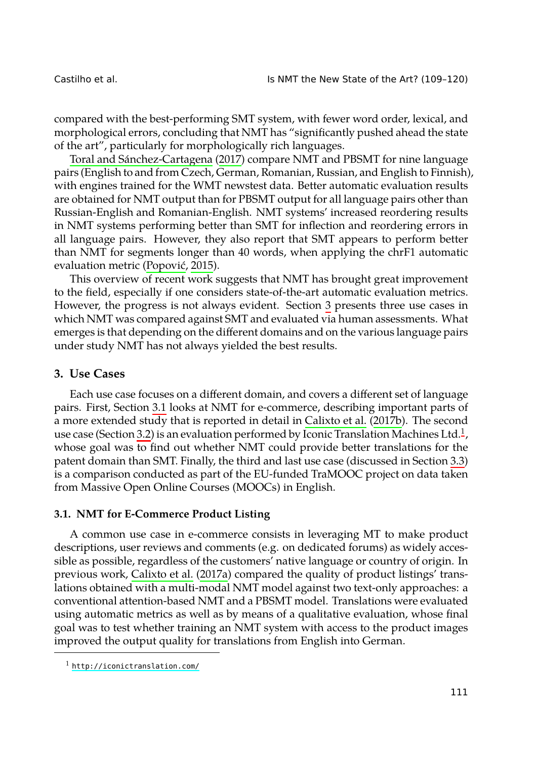compared with the best-performing SMT system, with fewer word order, lexical, and morphological errors, concluding that NMT has "significantly pushed ahead the state of the art", particu[larly for](#page-11-3) [morp](#page-11-3)hologically rich languages.

Toral and Sánchez-Cartagena (2017) compare NMT and PBSMT for nine language pairs (English to and from Czech, German, Romanian, Russian, and English to Finnish), with engines trained for the WMT newstest data. Bette[r a](#page-2-0)utomatic evaluation results are obtained for NMT output than for PBSMT output for all language pairs other than Russian-English and Romanian-English. NMT systems' increased reordering results in NMT systems performing better than SMT for inflection and reordering errors in all language pairs. However, they also report that SMT appears to perform better than NMT for segments longer than 40 words, when applying the chrF1 automatic evaluation metric (Popović, 2015).

<span id="page-2-0"></span>This overview of [rec](#page-2-1)ent work suggests that NMT has brought great improvement to the field, especially if one considers state-of-the[-art automatic evalua](#page-10-6)tion metrics. However, the pr[ogr](#page-4-0)ess is not always evident. Section 3 presents three use cases [in](#page-2-2) which NMT was compared against SMT and evaluated via human assessments. What emerges is that depending on the different domains and on the various language p[airs](#page-6-0) under study NMT has not always yielded the best results.

## **3. Use Cases**

<span id="page-2-1"></span>Each use case focuses on a different domain, and covers a different set of language pairs. First, Section 3.1 looks at NMT for e-commerce, describing important parts of a more extended study that is reported in detail in Calixto et al. (2017b). The second use case (Section 3.2) is an evaluation performed by Iconic Translation Machines Ltd.<sup>1</sup>, whose goal wa[s to find out](#page-10-7) [whethe](#page-10-7)r NMT could provide better translations for the patent domain than SMT. Finally, the third and last use case (discussed in Section 3.3) is a comparison conducted as part of the EU-funded TraMOOC project on data taken from Massive Open Online Courses (MOOCs) in English.

#### **3.1. NMT for E-Commerce Product Listing**

<span id="page-2-2"></span>A common use case in e-commerce consists in leveraging MT to make product des[criptions, user reviews and]( http://iconictranslation.com/) comments (e.g. on dedicated forums) as widely accessible as possible, regardless of the customers' native language or country of origin. In previous work, Calixto et al. (2017a) compared the quality of product listings' translations obtained with a multi-modal NMT model against two text-only approaches: a conventional attention-based NMT and a PBSMT model. Translations were evaluated using automatic metrics as well as by means of a qualitative evaluation, whose final goal was to test whether training an NMT system with access to the product images improved the output quality for translations from English into German.

 $^1$  http://iconictranslation.com/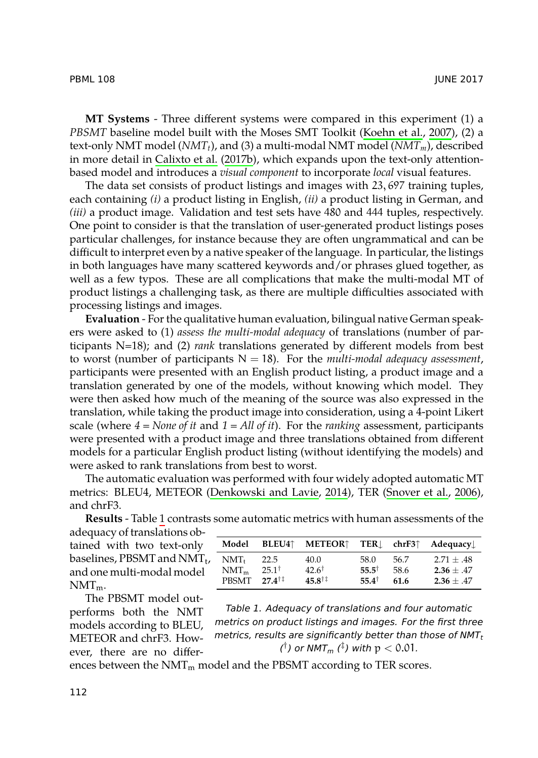**MT Systems** - Three different systems were compared in this experiment (1) a *PBSMT* baseline model built with the Moses SMT Toolkit (Koehn et al., 2007), (2) a text-only NMT model (*NMTt*), and (3) a multi-modal NMT model (*NMTm*), described in more detail in Calixto et al. (2017b), which expands upon the text-only attentionbased model and introduces a *visual component* to incorporate *local* visual features.

The data set consists of product listings and images with 23, 697 training tuples, each containing *(i)* a product listing in English, *(ii)* a product listing in German, and *(iii)* a product image. Validation and test sets have 480 and 444 tuples, respectively. One point to consider is that the translation of user-generated product listings poses particular challenges, for instance because they are often ungrammatical and can be difficult to interpret even by a native speaker of the language. In particular, the listings in both languages have many scattered keywords and/or phrases glued together, as well as a few typos. These are all complications that make the multi-modal MT of product listings a challenging task, as there are multiple difficulties associated with processing listings and images.

**Evaluation** - For the qualitative human evaluation, bilingual native German speakers were asked to (1) *assess the multi-modal adequacy* of translations (number of participants N=18); and (2) *rank* translations generated by different models from best to worst (number of participants N = 18). For the *multi-modal adequacy assessment*, participants were presented [with an English product list](#page-10-8)ing, a [product image and](#page-11-4) a translation generated by one of the models, without knowing which model. They were then asked [ho](#page-3-0)w much of the meaning of the source was also expressed in the translation, while taking the product image into consideration, using a 4-point Likert scale (where *4 = None of it* and *1 = All of it*). For the *ranking* assessment, participants were presented with a product image and three translations obtained from different models for a particular English product listing (without identifying the models) and were asked to rank translations from best to worst.

The automatic evaluation was performed with four widely adopted automatic MT metrics: BLEU4, METEOR (Denkowski and Lavie, 2014), TER (Snover et al., 2006), and chrF3.

**Results** - Table 1 contrasts some automatic metrics with human assessments of the adequacy of translations ob-

tained with two text-only baselines, PBSMT and  $\text{NMT}_{\text{t}}$ , and one multi-modal model  $NMT_m$ .

The PBSMT model outperforms both the NMT models according to BLEU, METEOR and chrF3. However, there are no differ-

<span id="page-3-0"></span>

| Model        | <b>BLEU4</b> 1           | <b>METEOR</b> ↑  | TER」             | chrF3↑ | Adequacy↓    |
|--------------|--------------------------|------------------|------------------|--------|--------------|
| $NMT_{t}$    | 22.5                     | 40.0             | 58.0             | 56.7   | $2.71 + .48$ |
| $NMT_m$      | $25.1^{\dagger}$         | $42.6^{\dagger}$ | $55.5^{\dagger}$ | 58.6   | $2.36 + .47$ |
| <b>PRSMT</b> | $27.4^{\dagger\ddagger}$ | $45.8^{\dagger}$ | $55.4^{\dagger}$ | 61.6   | $2.36 + .47$ |

*Table 1. Adequacy of translations and four automatic metrics on product listings and images. For the first three metrics, results are significantly better than those of NMT<sup>t</sup> (*<sup> $\uparrow$ </sup>) or NMT<sub>*m*</sub> *(* $\uparrow$ <sup> $\uparrow$ </sup>) with p < 0.01.

ences between the  $NMT_m$  model and the PBSMT according to TER scores.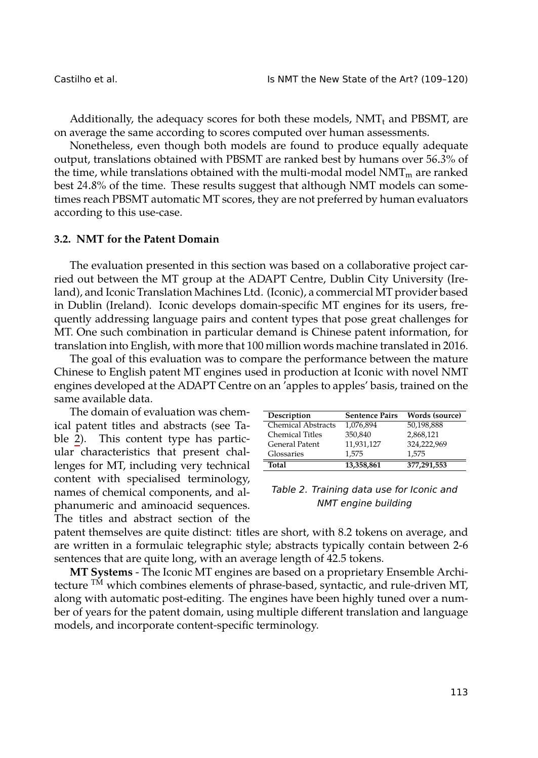<span id="page-4-0"></span>Additionally, the adequacy scores for both these models,  $NMT<sub>t</sub>$  and PBSMT, are on average the same according to scores computed over human assessments.

Nonetheless, even though both models are found to produce equally adequate output, translations obtained with PBSMT are ranked best by humans over 56.3% of the time, while translations obtained with the multi-modal model  $NMT_m$  are ranked best 24.8% of the time. These results suggest that although NMT models can sometimes reach PBSMT automatic MT scores, they are not preferred by human evaluators according to this use-case.

## **3.2. NMT for the Patent Domain**

The evaluation presented in this section was based on a collaborative project carried out between the MT group at the ADAPT Centre, Dublin City University (Ireland), and Iconic Translation Machines Ltd. (Iconic), a commercial MT provider based in Dublin (Ireland). Iconic develops domain-specific MT engines for its users, freque[nt](#page-4-1)ly addressing language pairs and content types that pose great challenges for MT. One such combination in particular demand is Chinese patent information, for translation into English, with more that 100 million words machine translated in 2016.

The goal of this evaluation was to compare the performance between the mature Chinese to English patent MT engines used in production at Iconic with novel NMT engines developed at the ADAPT Centre on an 'apples to apples' basis, trained on the same available data.

The domain of evaluation was chemical patent titles and abstracts (see Table 2). This content type has particular characteristics that present challenges for MT, including very technical content with specialised terminology, names of chemical components, and alphanumeric and aminoacid sequences. The titles and abstract section of the

<span id="page-4-1"></span>

| Description            | <b>Sentence Pairs</b> | Words (source) |
|------------------------|-----------------------|----------------|
| Chemical Abstracts     | 1,076,894             | 50,198,888     |
| <b>Chemical Titles</b> | 350.840               | 2,868,121      |
| General Patent         | 11,931,127            | 324,222,969    |
| Glossaries             | 1.575                 | 1.575          |
| Total                  | 13,358,861            | 377,291,553    |

*Table 2. Training data use for Iconic and NMT engine building*

patent themselves are quite distinct: titles are short, with 8.2 tokens on average, and are written in a formulaic telegraphic style; abstracts typically contain between 2-6 sentences that are quite long, with an average length of 42.5 tokens.

**MT Systems** - The Iconic MT engines are based on a proprietary Ensemble Architecture  $^{TM}$  which combines elements of phrase-based, syntactic, and rule-driven MT, along with automatic post-editing. The engines have been highly tuned over a number of years for the patent domain, using multiple different translation and language models, and incorporate content-specific terminology.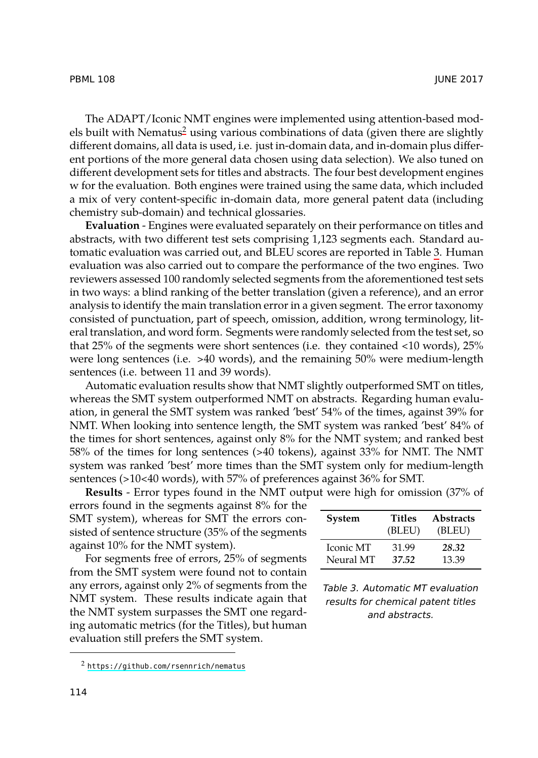The ADAPT/Iconic NMT engines were implemented using attention-based models built with Nematus<sup>2</sup> using various combinations of data (given there [are](#page-5-0) slightly different domains, all data is used, i.e. just in-domain data, and in-domain plus different portions of the more general data chosen using data selection). We also tuned on different development sets for titles and abstracts. The four best development engines w for the evaluation. Both engines were trained using the same data, which included a mix of very content-specific in-domain data, more general patent data (including chemistry sub-domain) and technical glossaries.

**Evaluation** - Engines were evaluated separately on their performance on titles and abstracts, with two different test sets comprising 1,123 segments each. Standard automatic evaluation was carried out, and BLEU scores are reported in Table 3. Human evaluation was also carried out to compare the performance of the two engines. Two reviewers assessed 100 randomly selected segments from the aforementioned test sets in two ways: a blind ranking of the better translation (given a reference), and an error analysis to identify the main translation error in a given segment. The error taxonomy consisted of punctuation, part of speech, omission, addition, wrong terminology, literal translation, and word form. Segments were randomly selected from the test set, so that 25% of the segments were short sentences (i.e. they contained <10 words), 25% were long sentences (i.e. >40 words), and the remaining 50% were medium-length sentences (i.e. between 11 and 39 words).

Automatic evaluation results show that NMT slightly outperformed SMT on titles, whereas the SMT system outperformed NMT on abstracts. Regarding human evaluation, in general the SMT system was ranked 'best' 54% of the times, against 39% for NMT. When looking into sentence length, the SMT system was ranked 'best' 84% of the times for short sentences, against only 8% for the NMT system; and ranked best 58% of the times for long sentences (>40 tokens), against 33% for NMT. The NMT system was ranked 'best' more times than the SMT system only for medium-length sentences (>10<40 words), with 57% of preferences against 36% for SMT.

**Results** - Error types found in the NMT output were high for omission (37% of

errors found in the segments against 8% for the SMT system), whereas for SMT the errors consisted of sentence structure (35% of the segments aga[inst 10% for the NMT system\).](https://github.com/rsennrich/nematus)

For segments free of errors, 25% of segments from the SMT system were found not to contain any errors, against only 2% of segments from the NMT system. These results indicate again that the NMT system surpasses the SMT one regarding automatic metrics (for the Titles), but human evaluation still prefers the SMT system.

<span id="page-5-0"></span>

| <b>System</b>    | <b>Titles</b><br>(BLEU) | <b>Abstracts</b><br>(BLEU) |
|------------------|-------------------------|----------------------------|
| <b>Iconic MT</b> | 31.99                   | 28.32                      |
| Neural MT        | 37.52                   | 13.39                      |

*Table 3. Automatic MT evaluation results for chemical patent titles and abstracts.*

<sup>2</sup> https://github.com/rsennrich/nematus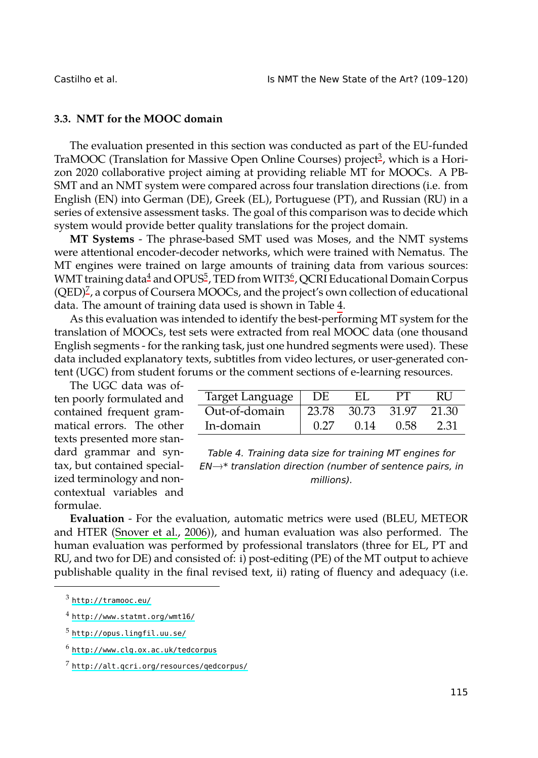<span id="page-6-0"></span>

# **3.3. NMT for the MOOC domain**

The evaluation [p](#page-6-1)resented i[n](#page-6-2) this section was [c](#page-6-3)onducted as part of the EU-funded TraM[O](#page-6-4)OC (Translation for Massive Open Online Courses) project<sup>3</sup>, which is a Horizon 2020 collaborative project aiming at providing reliable MT for MOOCs. A PB-SMT and an NMT system were compared across four tran[sl](#page-6-5)ation directions (i.e. from English (EN) into German (DE), Greek (EL), Portuguese (PT), and Russian (RU) in a series of extensive assessment tasks. The goal of this comparison was to decide which system would provide better quality translations for the project domain.

**MT Systems** - The phrase-based SMT used was Moses, and the NMT systems were attentional encoder-decoder networks, which were trained with Nematus. The MT engines were trained on large amounts of training data from various sources: WMT training data $^4$  and OPUS $^5$ , TED from WIT3 $^6$ , QCRI Educational Domain Corpus  $(QED)^7$ , a corpus of Coursera MOOCs, and the project's own collection of educational data. The amount of training data used is shown in Table 4.

As this evaluation was intended to identify the best-performing MT system for the translation of MOOCs, test sets were extracted from real MOOC data (one thousand English segments - for the ranking task, just one hundred segments were used). These data included explanatory texts, subtitles from video lectures, or user-generated content (UGC) from student forums or the comment sections of e-learning resources.

The UGC data was often poorly formulated and contained f[requent gram](#page-11-4)matical errors. The other texts presented more standard grammar and syntax, but contained specialize[d terminology an](http://tramooc.eu/)d nonco[ntextual variables and](http://www.statmt.org/wmt16/) for[mulae.](http://opus.lingfil.uu.se/)

<span id="page-6-5"></span>

| Target Language | DE    |       | - P'F |       |
|-----------------|-------|-------|-------|-------|
| Out-of-domain   | 23.78 | 30.73 | 31.97 | 21.30 |
| In-domain       |       | 0.14  | 0.58  | 2.31  |

*Table 4. Training data size for training MT engines for EN*→*\* translation direction (number of sentence pairs, in millions).*

<span id="page-6-4"></span><span id="page-6-3"></span><span id="page-6-2"></span><span id="page-6-1"></span>**Evaluation** - For the evaluation, automatic metrics were used (BLEU, METEOR an[d HTER \(Snover et al.,](http://www.clg.ox.ac.uk/tedcorpus) 2006)), and human evaluation was also performed. The hu[man evaluation was performed by p](http://alt.qcri.org/resources/qedcorpus/)rofessional translators (three for EL, PT and RU, and two for DE) and consisted of: i) post-editing (PE) of the MT output to achieve publishable quality in the final revised text, ii) rating of fluency and adequacy (i.e.

 $3$  http://tramooc.eu/

<sup>4</sup> http://www.statmt.org/wmt16/

<sup>5</sup> http://opus.lingfil.uu.se/

<sup>6</sup> http://www.clg.ox.ac.uk/tedcorpus

<sup>7</sup> http://alt.qcri.org/resources/qedcorpus/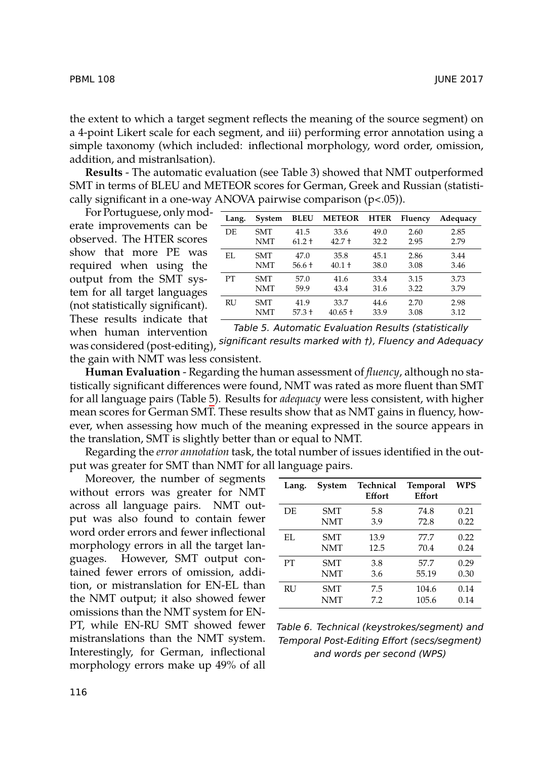the extent to which a target segment reflects the meaning of the source segment) on a 4-point Likert scale for each segment, and iii) performing error annotation using a simple taxonomy (which included: inflectional morphology, word order, omission, addition, and mistranlsation).

**Results** - The automatic evaluation (see Table 3) showed that NMT outperformed SMT in terms of BLEU and METEOR scores for German, Greek and Russian (statistically significant in a one-way ANOVA pairwise comparison (p<.05)).

For Portuguese, only moderate improvements can be observed. The HTER scores show that more PE was required when using the output from the SMT system for all target languages (not statistically significant). These results indicate that was considered (post-editing),

| <b>SMT</b> | 41.5     |           |      |      |      |
|------------|----------|-----------|------|------|------|
|            |          | 33.6      | 49.0 | 2.60 | 2.85 |
| NMT        | $61.2 +$ | $42.7 +$  | 32.2 | 2.95 | 2.79 |
| <b>SMT</b> | 47.0     | 35.8      | 45.1 | 2.86 | 3.44 |
| NMT        | $56.6 +$ | $40.1 +$  | 38.0 | 3.08 | 3.46 |
| <b>SMT</b> | 57.0     | 41.6      | 33.4 | 3.15 | 3.73 |
| NMT        | 59.9     | 43.4      | 31.6 | 3.22 | 3.79 |
| <b>SMT</b> | 41.9     | 33.7      | 44.6 | 2.70 | 2.98 |
| NMT        | $57.3 +$ | $40.65 +$ | 33.9 | 3.08 | 3.12 |
|            |          |           |      |      |      |

<span id="page-7-1"></span>**Lang. System BLEU METEOR HTER Fluency Adequacy**

*Table 5. Automatic Evaluation Results (statistically* when human intervention<br>was considered (post-oditing) significant results marked with f), Fluency and Adequacy the gain with NMT was less consistent.

**Human Evaluation** - Regarding the human assessment of *fluency*, although no statistically significant differences were found, NMT was rated as more fluent than SMT for all language pairs (Table 5). Results for *adequacy* were less consistent, with higher mean scores for German SMT. These results show that as NMT gains in fluency, however, when assessing how much of the meaning expressed in the source appears in the translation, SMT is slightly better than or equal to NMT.

Regarding the *error annotation* task, the total number of issues identified in the output was greater for SMT than NMT for all language pairs.

Moreover, the number of segments without errors was greater for NMT across all language pairs. NMT output was also found to contain fewer word order errors and fewer inflectional morphology errors in all the target languages. However, SMT output contained fewer errors of omission, addition, or mistranslation for EN-EL than the NMT output; it also showed fewer omissions than the NMT system for EN-PT, while EN-RU SMT showed fewer mistranslations than the NMT system. Interestingly, for German, inflectional morphology errors make up 49% of all

<span id="page-7-0"></span>

| System | Technical<br>Effort | Temporal<br>Effort | <b>WPS</b> |
|--------|---------------------|--------------------|------------|
| SMT    | 5.8                 | 74.8               | 0.21       |
| NMT    | 3.9                 | 72.8               | 0.22       |
| SMT    | 13.9                | 77.7               | 0.22       |
| NMT    | 12.5                | 70.4               | 0.24       |
| SMT    | 3.8                 | 57.7               | 0.29       |
| NMT    | 3.6                 | 55.19              | 0.30       |
| SMT    | 7.5                 | 104.6              | 0.14       |
| NMT    | 7.2                 | 105.6              | 0.14       |
|        |                     |                    |            |

*Table 6. Technical (keystrokes/segment) and Temporal Post-Editing Effort (secs/segment) and words per second (WPS)*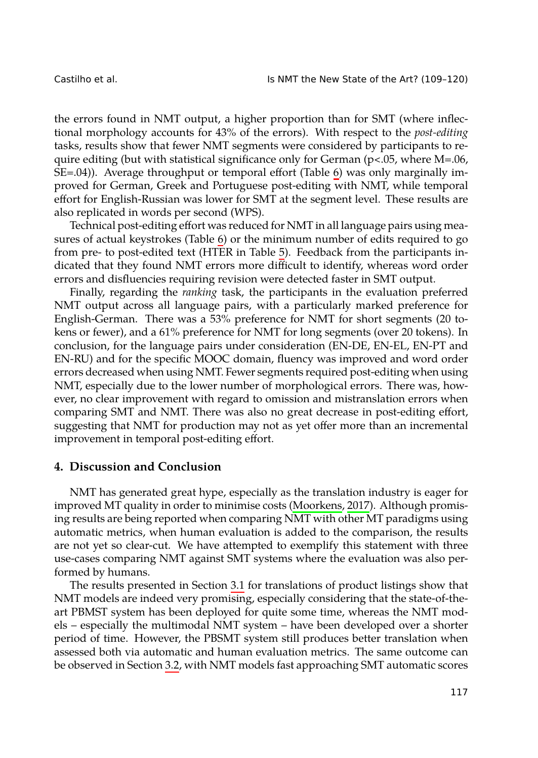the errors found in NMT outpu[t,](#page-7-0) a higher proportion than for SMT (where inflectional morphology accounts for 43% of the e[rr](#page-7-1)ors). With respect to the *post-editing* tasks, results show that fewer NMT segments were considered by participants to require editing (but with statistical significance only for German (p<.05, where M=.06, SE=.04)). Average throughput or temporal effort (Table 6) was only marginally improved for German, Greek and Portuguese post-editing with NMT, while temporal effort for English-Russian was lower for SMT at the segment level. These results are also replicated in words per second (WPS).

Technical post-editing effort was reduced for NMT in all language pairs using measures of actual keystrokes (Table 6) or the minimum number of edits required to go from pre- to post-edited text (HTER in Table 5). Feedback from the participants indicated that they found NMT errors more difficult to identify, whereas word order errors and disfluencies requiring revision were detected faster in SMT output.

<span id="page-8-0"></span>Finally, regarding the *ranking* task, the participants in the evaluation preferred NMT output across all language pairs, with a particularly marked preference for English-German. There was a 53% preference for NMT for short segments (20 tokens or fewer), and a 61% preference for NMT for long segments (over 20 tokens). In conclusion, for the language pairs under consideration (EN-DE, EN-EL, EN-PT and EN-RU) and for the specific MOOC domain, fluency was improved and word order errors decreased when using NMT. Fewer segments required post-editing when using NMT, especially due to the lower number of mo[rphological erro](#page-11-5)rs. There was, however, no clear improvement with regard to omission and mistranslation errors when comparing SMT and NMT. There was also no great decrease in post-editing effort, suggesting that NMT for production may not as yet offer more than an incremental improvement in temporal post-editing effort.

#### **4. Discussion and Conclusion**

NMT has generated great hype, especially as the translation industry is eager for improved MT quality in order to minimise costs (Moorkens, 2017). Although promising results are being reported when comparing NMT with other MT paradigms using automatic metrics, when human evaluation is added to the comparison, the results are not yet so clear-cu[t. W](#page-4-0)e have attempted to exemplify this statement with three use-cases comparing NMT against SMT systems where the evaluation was also performed by humans.

The results presented in Section 3.1 for translations of product listings show that NMT models are indeed very promising, especially considering that the state-of-theart PBMST system has been deployed for quite some time, whereas the NMT models – especially the multimodal NMT system – have been developed over a shorter period of time. However, the PBSMT system still produces better translation when assessed both via automatic and human evaluation metrics. The same outcome can be observed in Section 3.2, with NMT models fast approaching SMT automatic scores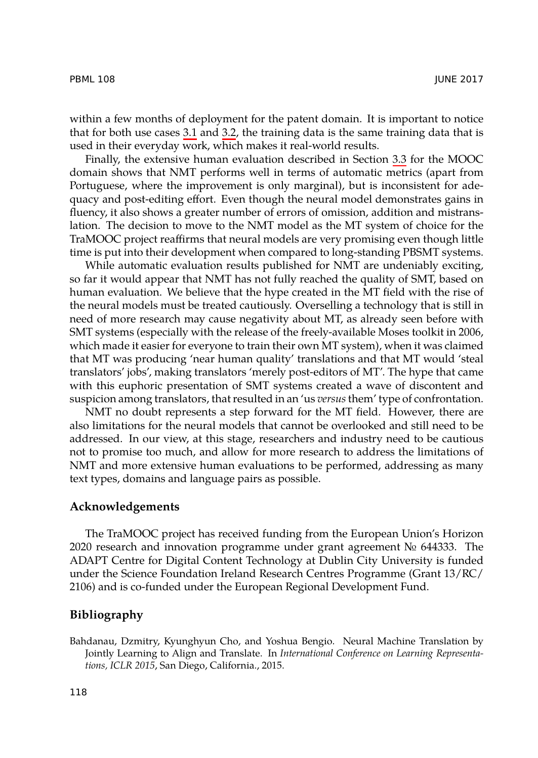within a few months of deployment for the patent domain. It is important to notice that for both use cases 3.1 and 3.2, the training data is the same training data that is used in their everyday work, which makes it real-world results.

Finally, the extensive human evaluation described in Section 3.3 for the MOOC domain shows that NMT performs well in terms of automatic metrics (apart from Portuguese, where the improvement is only marginal), but is inconsistent for adequacy and post-editing effort. Even though the neural model demonstrates gains in fluency, it also shows a greater number of errors of omission, addition and mistranslation. The decision to move to the NMT model as the MT system of choice for the TraMOOC project reaffirms that neural models are very promising even though little time is put into their development when compared to long-standing PBSMT systems.

While automatic evaluation results published for NMT are undeniably exciting, so far it would appear that NMT has not fully reached the quality of SMT, based on human evaluation. We believe that the hype created in the MT field with the rise of the neural models must be treated cautiously. Overselling a technology that is still in need of more research may cause negativity about MT, as already seen before with SMT systems (especially with the release of the freely-available Moses toolkit in 2006, which made it easier for everyone to train their own MT system), when it was claimed that MT was producing 'near human quality' translations and that MT would 'steal translators' jobs', making translators 'merely post-editors of MT'. The hype that came with this euphoric presentation of SMT systems created a wave of discontent and suspicion among translators, that resulted in an 'us *versus*them' type of confrontation.

NMT no doubt represents a step forward for the MT field. However, there are also limitations for the neural models that cannot be overlooked and still need to be addressed. In our view, at this stage, researchers and industry need to be cautious not to promise too much, and allow for more research to address the limitations of NMT and more extensive human evaluations to be performed, addressing as many text types, domains and language pairs as possible.

#### <span id="page-9-0"></span>**Acknowledgements**

The TraMOOC project has received funding from the European Union's Horizon 2020 research and innovation programme under grant agreement № 644333. The ADAPT Centre for Digital Content Technology at Dublin City University is funded under the Science Foundation Ireland Research Centres Programme (Grant 13/RC/ 2106) and is co-funded under the European Regional Development Fund.

# **Bibliography**

Bahdanau, Dzmitry, Kyunghyun Cho, and Yoshua Bengio. Neural Machine Translation by Jointly Learning to Align and Translate. In *International Conference on Learning Representations, ICLR 2015*, San Diego, California., 2015.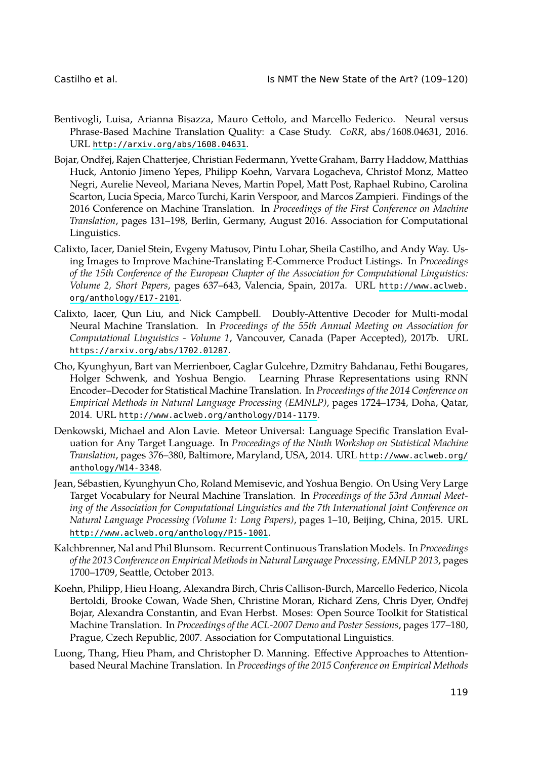- <span id="page-10-7"></span><span id="page-10-5"></span><span id="page-10-3"></span>Bentivogli, Luisa, Arianna Bisazza, Mauro Cettolo, and Marcello Federico. Neural versus Phrase-Based Machine Translation Quality: a Case Study. *CoRR*, abs/1608.04631, 2016. URL http://arxiv.org/abs/1608.04631.
- <span id="page-10-6"></span>Bojar, Ondřej, Rajen Chatterjee, Christian Federmann, Yvette Graham, Barr[y Haddow, Matthias](http://www.aclweb.org/anthology/E17-2101) [Huck, Antonio Jimeno Ye](http://www.aclweb.org/anthology/E17-2101)pes, Philipp Koehn, Varvara Logacheva, Christof Monz, Matteo Negri, Aurelie Neveol, Mariana Neves, Martin Popel, Matt Post, Raphael Rubino, Carolina Scarton, Lucia Specia, Marco Turchi, Karin Verspoor, and Marcos Zampieri. Findings of the 2016 Conference on Machine Translation. In *Proceedings of the First Conference on Machine Translation*[, pages 131–198, Berlin, G](https://arxiv.org/abs/1702.01287)ermany, August 2016. Association for Computational Linguistics.
- <span id="page-10-1"></span>Calixto, Iacer, Daniel Stein, Evgeny Matusov, Pintu Lohar, Sheila Castilho, and Andy Way. Using Images to Improve Machine-Translating E-Commerce Product Listings. In *Proceedings of the 15th Conference of the European Chapter of the Association for Computational Linguistics: Volume 2, Short Papers*[, pages 637–643, Valencia, Spain,](http://www.aclweb.org/anthology/D14-1179) 2017a. URL http://www.aclweb. org/anthology/E17-2101.
- <span id="page-10-8"></span>Calixto, Iacer, Qun Liu, and Nick Campbell. Doubly-Attentive Decoder for Multi-modal Neural Machine Translation. In *Proceedings of the 55th Annual [Meeting on Association for](http://www.aclweb.org/anthology/W14-3348) [Computational Lingui](http://www.aclweb.org/anthology/W14-3348)stics - Volume 1*, Vancouver, Canada (Paper Accepted), 2017b. URL https://arxiv.org/abs/1702.01287.
- <span id="page-10-4"></span>Cho, Kyunghyun, Bart van Merrienboer, Caglar Gulcehre, Dzmitry Bahdanau, Fethi Bougares, Holger Schwenk, and Yoshua Bengio. Learning Phrase Representations using RNN Encoder–Decoder for Statistical Machine Translation. In *Proceedings of the 2014 Conference on [Empirical Methods in Natural Language Process](http://www.aclweb.org/anthology/P15-1001)ing (EMNLP)*, pages 1724–1734, Doha, Qatar, 2014. URL http://www.aclweb.org/anthology/D14-1179.
- <span id="page-10-0"></span>Denkowski, Michael and Alon Lavie. Meteor Universal: Language Specific Translation Evaluation for Any Target Language. In *Proceedings of the Ninth Workshop on Statistical Machine Translation*, pages 376–380, Baltimore, Maryland, USA, 2014. URL http://www.aclweb.org/ anthology/W14-3348.
- Jean, Sébastien, Kyunghyun Cho, Roland Memisevic, and Yoshua Bengio. On Using Very Large Target Vocabulary for Neural Machine Translation. In *Proceedings of the 53rd Annual Meeting of the Association for Computational Linguistics and the 7th International Joint Conference on Natural Language Processing (Volume 1: Long Papers)*, pages 1–10, Beijing, China, 2015. URL http://www.aclweb.org/anthology/P15-1001.
- <span id="page-10-2"></span>Kalchbrenner, Nal and Phil Blunsom. Recurrent Continuous Translation Models. In *Proceedings of the 2013 Conference on Empirical Methods in Natural Language Processing, EMNLP 2013*, pages 1700–1709, Seattle, October 2013.
- Koehn, Philipp, Hieu Hoang, Alexandra Birch, Chris Callison-Burch, Marcello Federico, Nicola Bertoldi, Brooke Cowan, Wade Shen, Christine Moran, Richard Zens, Chris Dyer, Ondřej Bojar, Alexandra Constantin, and Evan Herbst. Moses: Open Source Toolkit for Statistical Machine Translation. In *Proceedings of the ACL-2007 Demo and Poster Sessions*, pages 177–180, Prague, Czech Republic, 2007. Association for Computational Linguistics.
- Luong, Thang, Hieu Pham, and Christopher D. Manning. Effective Approaches to Attentionbased Neural Machine Translation. In *Proceedings of the 2015 Conference on Empirical Methods*